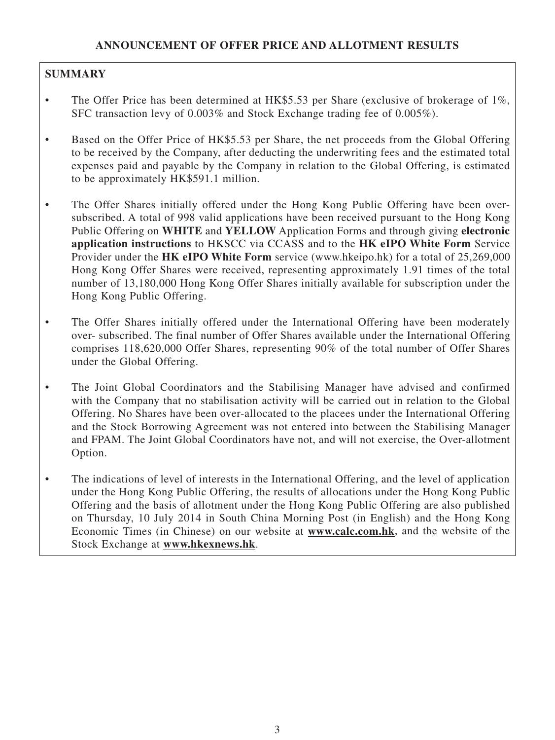# **SUMMARY**

- The Offer Price has been determined at HK\$5.53 per Share (exclusive of brokerage of 1%, SFC transaction levy of 0.003% and Stock Exchange trading fee of 0.005%).
- Based on the Offer Price of HK\$5.53 per Share, the net proceeds from the Global Offering to be received by the Company, after deducting the underwriting fees and the estimated total expenses paid and payable by the Company in relation to the Global Offering, is estimated to be approximately HK\$591.1 million.
- The Offer Shares initially offered under the Hong Kong Public Offering have been oversubscribed. A total of 998 valid applications have been received pursuant to the Hong Kong Public Offering on **WHITE** and **YELLOW** Application Forms and through giving **electronic application instructions** to HKSCC via CCASS and to the **HK eIPO White Form** Service Provider under the **HK eIPO White Form** service (www.hkeipo.hk) for a total of 25,269,000 Hong Kong Offer Shares were received, representing approximately 1.91 times of the total number of 13,180,000 Hong Kong Offer Shares initially available for subscription under the Hong Kong Public Offering.
- The Offer Shares initially offered under the International Offering have been moderately over- subscribed. The final number of Offer Shares available under the International Offering comprises 118,620,000 Offer Shares, representing 90% of the total number of Offer Shares under the Global Offering.
- The Joint Global Coordinators and the Stabilising Manager have advised and confirmed with the Company that no stabilisation activity will be carried out in relation to the Global Offering. No Shares have been over-allocated to the placees under the International Offering and the Stock Borrowing Agreement was not entered into between the Stabilising Manager and FPAM. The Joint Global Coordinators have not, and will not exercise, the Over-allotment Option.
- The indications of level of interests in the International Offering, and the level of application under the Hong Kong Public Offering, the results of allocations under the Hong Kong Public Offering and the basis of allotment under the Hong Kong Public Offering are also published on Thursday, 10 July 2014 in South China Morning Post (in English) and the Hong Kong Economic Times (in Chinese) on our website at **www.calc.com.hk**, and the website of the Stock Exchange at **www.hkexnews.hk**.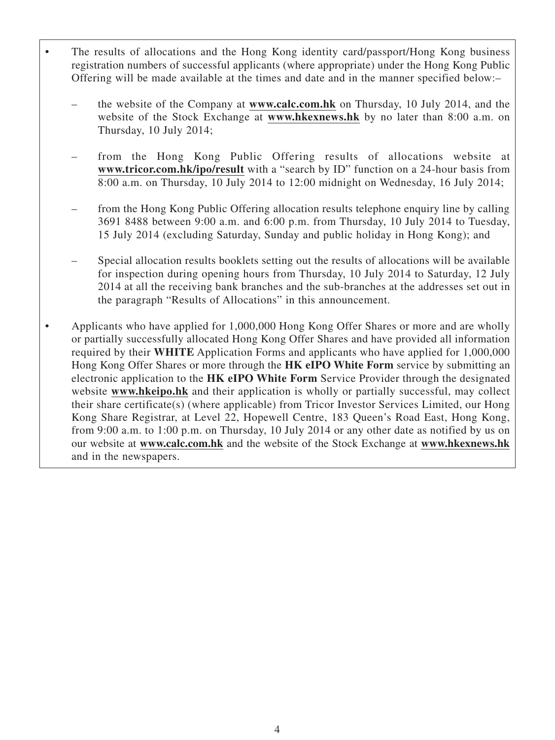- The results of allocations and the Hong Kong identity card/passport/Hong Kong business registration numbers of successful applicants (where appropriate) under the Hong Kong Public Offering will be made available at the times and date and in the manner specified below:–
	- the website of the Company at **www.calc.com.hk** on Thursday, 10 July 2014, and the website of the Stock Exchange at **www.hkexnews.hk** by no later than 8:00 a.m. on Thursday, 10 July 2014;
	- from the Hong Kong Public Offering results of allocations website at **www.tricor.com.hk/ipo/result** with a "search by ID" function on a 24-hour basis from 8:00 a.m. on Thursday, 10 July 2014 to 12:00 midnight on Wednesday, 16 July 2014;
	- from the Hong Kong Public Offering allocation results telephone enquiry line by calling 3691 8488 between 9:00 a.m. and 6:00 p.m. from Thursday, 10 July 2014 to Tuesday, 15 July 2014 (excluding Saturday, Sunday and public holiday in Hong Kong); and
	- Special allocation results booklets setting out the results of allocations will be available for inspection during opening hours from Thursday, 10 July 2014 to Saturday, 12 July 2014 at all the receiving bank branches and the sub-branches at the addresses set out in the paragraph "Results of Allocations" in this announcement.
- Applicants who have applied for 1,000,000 Hong Kong Offer Shares or more and are wholly or partially successfully allocated Hong Kong Offer Shares and have provided all information required by their **WHITE** Application Forms and applicants who have applied for 1,000,000 Hong Kong Offer Shares or more through the **HK eIPO White Form** service by submitting an electronic application to the **HK eIPO White Form** Service Provider through the designated website **www.hkeipo.hk** and their application is wholly or partially successful, may collect their share certificate(s) (where applicable) from Tricor Investor Services Limited, our Hong Kong Share Registrar, at Level 22, Hopewell Centre, 183 Queen's Road East, Hong Kong, from 9:00 a.m. to 1:00 p.m. on Thursday, 10 July 2014 or any other date as notified by us on our website at **www.calc.com.hk** and the website of the Stock Exchange at **www.hkexnews.hk** and in the newspapers.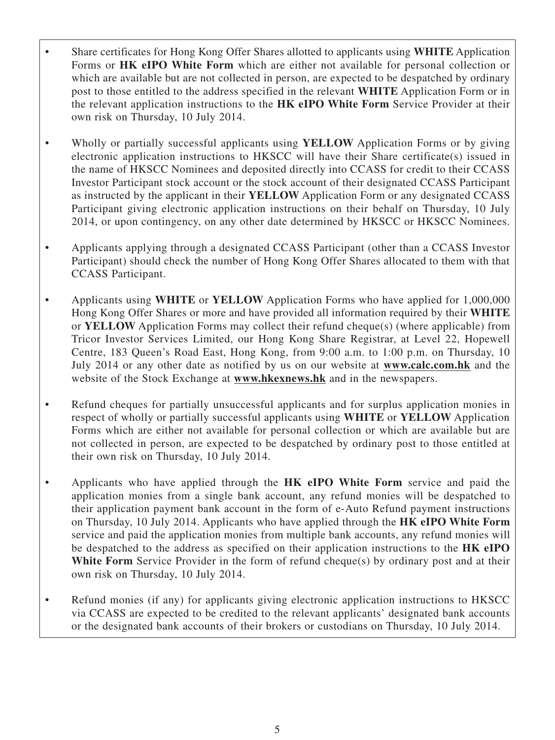- Share certificates for Hong Kong Offer Shares allotted to applicants using **WHITE** Application Forms or **HK eIPO White Form** which are either not available for personal collection or which are available but are not collected in person, are expected to be despatched by ordinary post to those entitled to the address specified in the relevant **WHITE** Application Form or in the relevant application instructions to the **HK eIPO White Form** Service Provider at their own risk on Thursday, 10 July 2014.
- Wholly or partially successful applicants using **YELLOW** Application Forms or by giving electronic application instructions to HKSCC will have their Share certificate(s) issued in the name of HKSCC Nominees and deposited directly into CCASS for credit to their CCASS Investor Participant stock account or the stock account of their designated CCASS Participant as instructed by the applicant in their **YELLOW** Application Form or any designated CCASS Participant giving electronic application instructions on their behalf on Thursday, 10 July 2014, or upon contingency, on any other date determined by HKSCC or HKSCC Nominees.
- Applicants applying through a designated CCASS Participant (other than a CCASS Investor Participant) should check the number of Hong Kong Offer Shares allocated to them with that CCASS Participant.
- Applicants using **WHITE** or **YELLOW** Application Forms who have applied for 1,000,000 Hong Kong Offer Shares or more and have provided all information required by their **WHITE** or **YELLOW** Application Forms may collect their refund cheque(s) (where applicable) from Tricor Investor Services Limited, our Hong Kong Share Registrar, at Level 22, Hopewell Centre, 183 Queen's Road East, Hong Kong, from 9:00 a.m. to 1:00 p.m. on Thursday, 10 July 2014 or any other date as notified by us on our website at **www.calc.com.hk** and the website of the Stock Exchange at **www.hkexnews.hk** and in the newspapers.
- Refund cheques for partially unsuccessful applicants and for surplus application monies in respect of wholly or partially successful applicants using **WHITE** or **YELLOW** Application Forms which are either not available for personal collection or which are available but are not collected in person, are expected to be despatched by ordinary post to those entitled at their own risk on Thursday, 10 July 2014.
- Applicants who have applied through the **HK eIPO White Form** service and paid the application monies from a single bank account, any refund monies will be despatched to their application payment bank account in the form of e-Auto Refund payment instructions on Thursday, 10 July 2014. Applicants who have applied through the **HK eIPO White Form** service and paid the application monies from multiple bank accounts, any refund monies will be despatched to the address as specified on their application instructions to the **HK eIPO**  White Form Service Provider in the form of refund cheque(s) by ordinary post and at their own risk on Thursday, 10 July 2014.
- Refund monies (if any) for applicants giving electronic application instructions to HKSCC via CCASS are expected to be credited to the relevant applicants' designated bank accounts or the designated bank accounts of their brokers or custodians on Thursday, 10 July 2014.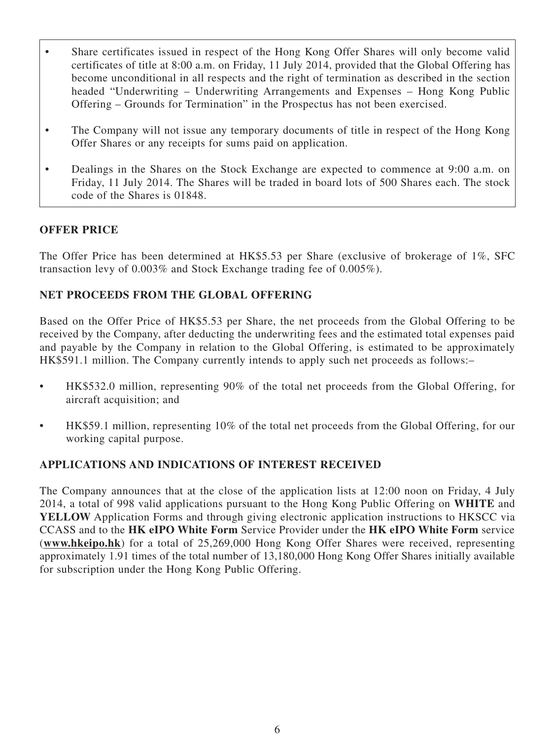- Share certificates issued in respect of the Hong Kong Offer Shares will only become valid certificates of title at 8:00 a.m. on Friday, 11 July 2014, provided that the Global Offering has become unconditional in all respects and the right of termination as described in the section headed "Underwriting – Underwriting Arrangements and Expenses – Hong Kong Public Offering – Grounds for Termination" in the Prospectus has not been exercised.
- The Company will not issue any temporary documents of title in respect of the Hong Kong Offer Shares or any receipts for sums paid on application.
- Dealings in the Shares on the Stock Exchange are expected to commence at 9:00 a.m. on Friday, 11 July 2014. The Shares will be traded in board lots of 500 Shares each. The stock code of the Shares is 01848.

## **OFFER PRICE**

The Offer Price has been determined at HK\$5.53 per Share (exclusive of brokerage of 1%, SFC transaction levy of 0.003% and Stock Exchange trading fee of 0.005%).

## **NET PROCEEDS FROM THE GLOBAL OFFERING**

Based on the Offer Price of HK\$5.53 per Share, the net proceeds from the Global Offering to be received by the Company, after deducting the underwriting fees and the estimated total expenses paid and payable by the Company in relation to the Global Offering, is estimated to be approximately HK\$591.1 million. The Company currently intends to apply such net proceeds as follows:–

- HK\$532.0 million, representing 90% of the total net proceeds from the Global Offering, for aircraft acquisition; and
- HK\$59.1 million, representing 10% of the total net proceeds from the Global Offering, for our working capital purpose.

## **APPLICATIONS AND INDICATIONS OF INTEREST RECEIVED**

The Company announces that at the close of the application lists at 12:00 noon on Friday, 4 July 2014, a total of 998 valid applications pursuant to the Hong Kong Public Offering on **WHITE** and **YELLOW** Application Forms and through giving electronic application instructions to HKSCC via CCASS and to the **HK eIPO White Form** Service Provider under the **HK eIPO White Form** service (**www.hkeipo.hk**) for a total of 25,269,000 Hong Kong Offer Shares were received, representing approximately 1.91 times of the total number of 13,180,000 Hong Kong Offer Shares initially available for subscription under the Hong Kong Public Offering.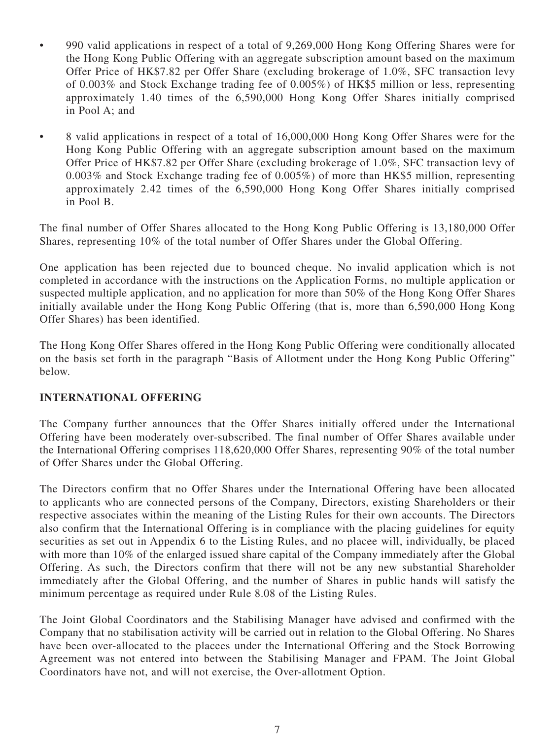- 990 valid applications in respect of a total of 9,269,000 Hong Kong Offering Shares were for the Hong Kong Public Offering with an aggregate subscription amount based on the maximum Offer Price of HK\$7.82 per Offer Share (excluding brokerage of 1.0%, SFC transaction levy of 0.003% and Stock Exchange trading fee of 0.005%) of HK\$5 million or less, representing approximately 1.40 times of the 6,590,000 Hong Kong Offer Shares initially comprised in Pool A; and
- 8 valid applications in respect of a total of 16,000,000 Hong Kong Offer Shares were for the Hong Kong Public Offering with an aggregate subscription amount based on the maximum Offer Price of HK\$7.82 per Offer Share (excluding brokerage of 1.0%, SFC transaction levy of 0.003% and Stock Exchange trading fee of 0.005%) of more than HK\$5 million, representing approximately 2.42 times of the 6,590,000 Hong Kong Offer Shares initially comprised in Pool B.

The final number of Offer Shares allocated to the Hong Kong Public Offering is 13,180,000 Offer Shares, representing 10% of the total number of Offer Shares under the Global Offering.

One application has been rejected due to bounced cheque. No invalid application which is not completed in accordance with the instructions on the Application Forms, no multiple application or suspected multiple application, and no application for more than 50% of the Hong Kong Offer Shares initially available under the Hong Kong Public Offering (that is, more than 6,590,000 Hong Kong Offer Shares) has been identified.

The Hong Kong Offer Shares offered in the Hong Kong Public Offering were conditionally allocated on the basis set forth in the paragraph "Basis of Allotment under the Hong Kong Public Offering" below.

## **INTERNATIONAL OFFERING**

The Company further announces that the Offer Shares initially offered under the International Offering have been moderately over-subscribed. The final number of Offer Shares available under the International Offering comprises 118,620,000 Offer Shares, representing 90% of the total number of Offer Shares under the Global Offering.

The Directors confirm that no Offer Shares under the International Offering have been allocated to applicants who are connected persons of the Company, Directors, existing Shareholders or their respective associates within the meaning of the Listing Rules for their own accounts. The Directors also confirm that the International Offering is in compliance with the placing guidelines for equity securities as set out in Appendix 6 to the Listing Rules, and no placee will, individually, be placed with more than 10% of the enlarged issued share capital of the Company immediately after the Global Offering. As such, the Directors confirm that there will not be any new substantial Shareholder immediately after the Global Offering, and the number of Shares in public hands will satisfy the minimum percentage as required under Rule 8.08 of the Listing Rules.

The Joint Global Coordinators and the Stabilising Manager have advised and confirmed with the Company that no stabilisation activity will be carried out in relation to the Global Offering. No Shares have been over-allocated to the placees under the International Offering and the Stock Borrowing Agreement was not entered into between the Stabilising Manager and FPAM. The Joint Global Coordinators have not, and will not exercise, the Over-allotment Option.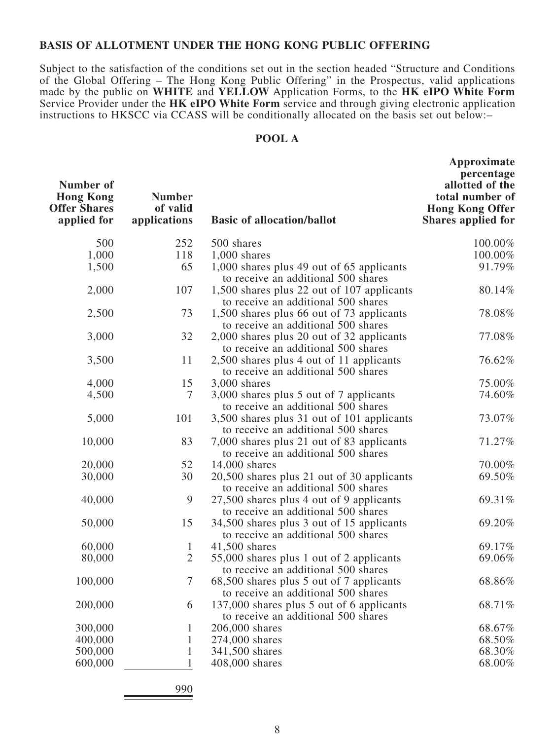#### **BASIS OF ALLOTMENT UNDER THE HONG KONG PUBLIC OFFERING**

Subject to the satisfaction of the conditions set out in the section headed "Structure and Conditions of the Global Offering – The Hong Kong Public Offering" in the Prospectus, valid applications made by the public on **WHITE** and **YELLOW** Application Forms, to the **HK eIPO White Form** Service Provider under the **HK eIPO White Form** service and through giving electronic application instructions to HKSCC via CCASS will be conditionally allocated on the basis set out below:–

### **POOL A**

| Number of<br><b>Hong Kong</b><br><b>Offer Shares</b><br>applied for | <b>Number</b><br>of valid<br>applications | <b>Basic of allocation/ballot</b>                                                 | Approximate<br>percentage<br>allotted of the<br>total number of<br><b>Hong Kong Offer</b><br><b>Shares applied for</b> |
|---------------------------------------------------------------------|-------------------------------------------|-----------------------------------------------------------------------------------|------------------------------------------------------------------------------------------------------------------------|
| 500                                                                 | 252                                       | 500 shares                                                                        | 100.00%                                                                                                                |
| 1,000                                                               | 118                                       | $1,000$ shares                                                                    | 100.00%                                                                                                                |
| 1,500                                                               | 65                                        | 1,000 shares plus 49 out of 65 applicants<br>to receive an additional 500 shares  | 91.79%                                                                                                                 |
| 2,000                                                               | 107                                       | 1,500 shares plus 22 out of 107 applicants<br>to receive an additional 500 shares | 80.14%                                                                                                                 |
| 2,500                                                               | 73                                        | 1,500 shares plus 66 out of 73 applicants<br>to receive an additional 500 shares  | 78.08%                                                                                                                 |
| 3,000                                                               | 32                                        | 2,000 shares plus 20 out of 32 applicants<br>to receive an additional 500 shares  | 77.08%                                                                                                                 |
| 3,500                                                               | 11                                        | 2,500 shares plus 4 out of 11 applicants<br>to receive an additional 500 shares   | 76.62%                                                                                                                 |
| 4,000                                                               | 15                                        | 3,000 shares                                                                      | 75.00%                                                                                                                 |
| 4,500                                                               | $\tau$                                    | 3,000 shares plus 5 out of 7 applicants<br>to receive an additional 500 shares    | 74.60%                                                                                                                 |
| 5,000                                                               | 101                                       | 3,500 shares plus 31 out of 101 applicants<br>to receive an additional 500 shares | 73.07%                                                                                                                 |
| 10,000                                                              | 83                                        | 7,000 shares plus 21 out of 83 applicants<br>to receive an additional 500 shares  | 71.27%                                                                                                                 |
| 20,000                                                              | 52                                        | 14,000 shares                                                                     | 70.00%                                                                                                                 |
| 30,000                                                              | 30                                        | 20,500 shares plus 21 out of 30 applicants<br>to receive an additional 500 shares | 69.50%                                                                                                                 |
| 40,000                                                              | 9                                         | 27,500 shares plus 4 out of 9 applicants<br>to receive an additional 500 shares   | 69.31%                                                                                                                 |
| 50,000                                                              | 15                                        | 34,500 shares plus 3 out of 15 applicants<br>to receive an additional 500 shares  | 69.20%                                                                                                                 |
| 60,000                                                              | $\mathbf{1}$                              | 41,500 shares                                                                     | 69.17%                                                                                                                 |
| 80,000                                                              | $\overline{2}$                            | 55,000 shares plus 1 out of 2 applicants<br>to receive an additional 500 shares   | 69.06%                                                                                                                 |
| 100,000                                                             | $\tau$                                    | 68,500 shares plus 5 out of 7 applicants<br>to receive an additional 500 shares   | 68.86%                                                                                                                 |
| 200,000                                                             | 6                                         | 137,000 shares plus 5 out of 6 applicants<br>to receive an additional 500 shares  | 68.71%                                                                                                                 |
| 300,000                                                             | 1                                         | 206,000 shares                                                                    | 68.67%                                                                                                                 |
| 400,000                                                             | 1                                         | 274,000 shares                                                                    | 68.50%                                                                                                                 |
| 500,000                                                             | 1                                         | 341,500 shares                                                                    | 68.30%                                                                                                                 |
| 600,000                                                             | 1                                         | 408,000 shares                                                                    | 68.00%                                                                                                                 |
|                                                                     |                                           |                                                                                   |                                                                                                                        |

990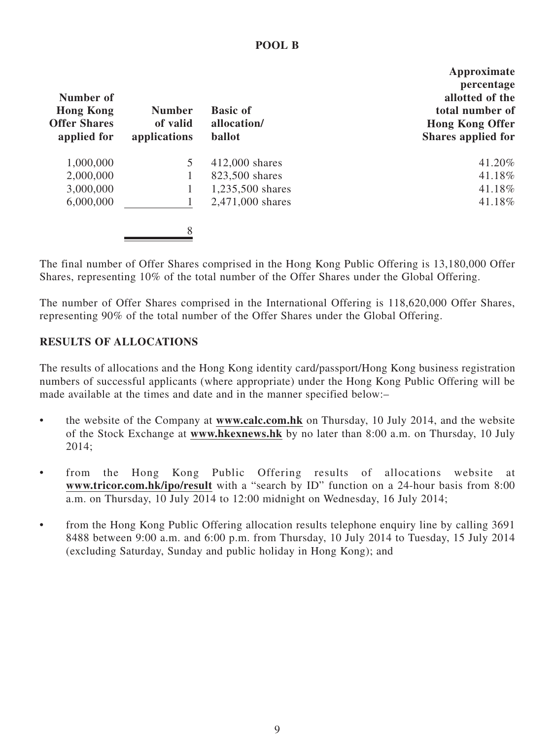#### **Number of Hong Kong Offer Shares applied for Number of valid applications Basic of allocation/ ballot Approximate percentage allotted of the total number of Hong Kong Offer Shares applied for** 1,000,000 5 412,000 shares 41.20% 2,000,000 1 823,500 shares 41.18% 3,000,000 1 1,235,500 shares 41.18% 6,000,000 1 2,471,000 shares 41.18% 8

The final number of Offer Shares comprised in the Hong Kong Public Offering is 13,180,000 Offer Shares, representing 10% of the total number of the Offer Shares under the Global Offering.

The number of Offer Shares comprised in the International Offering is 118,620,000 Offer Shares, representing 90% of the total number of the Offer Shares under the Global Offering.

## **RESULTS OF ALLOCATIONS**

The results of allocations and the Hong Kong identity card/passport/Hong Kong business registration numbers of successful applicants (where appropriate) under the Hong Kong Public Offering will be made available at the times and date and in the manner specified below:–

- the website of the Company at **www.calc.com.hk** on Thursday, 10 July 2014, and the website of the Stock Exchange at **www.hkexnews.hk** by no later than 8:00 a.m. on Thursday, 10 July 2014;
- from the Hong Kong Public Offering results of allocations website at **www.tricor.com.hk/ipo/result** with a "search by ID" function on a 24-hour basis from 8:00 a.m. on Thursday, 10 July 2014 to 12:00 midnight on Wednesday, 16 July 2014;
- from the Hong Kong Public Offering allocation results telephone enquiry line by calling 3691 8488 between 9:00 a.m. and 6:00 p.m. from Thursday, 10 July 2014 to Tuesday, 15 July 2014 (excluding Saturday, Sunday and public holiday in Hong Kong); and

### **POOL B**